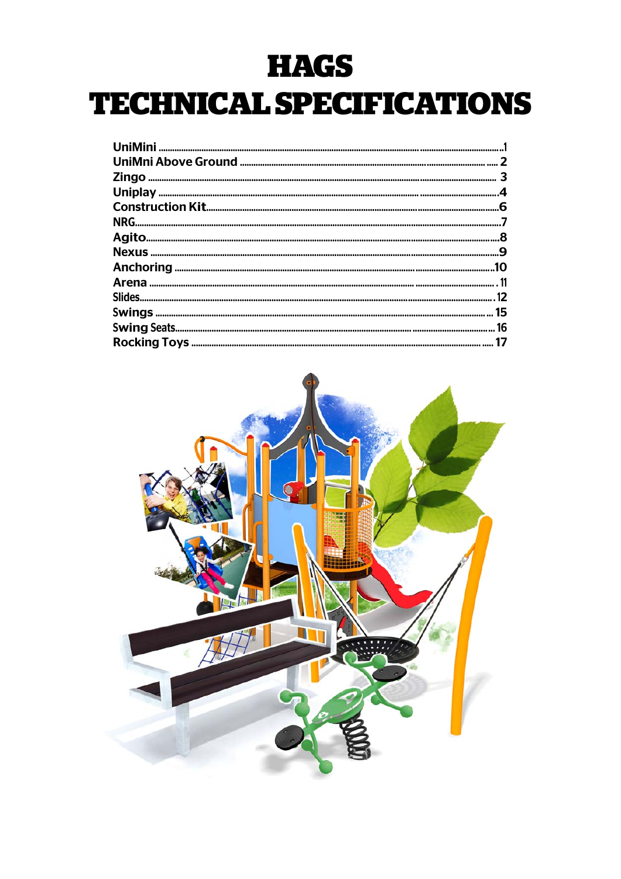# **HAGS**

# **TECHNICAL SPECIFICATIONS**

| .10 |
|-----|
|     |
|     |
|     |
|     |
|     |

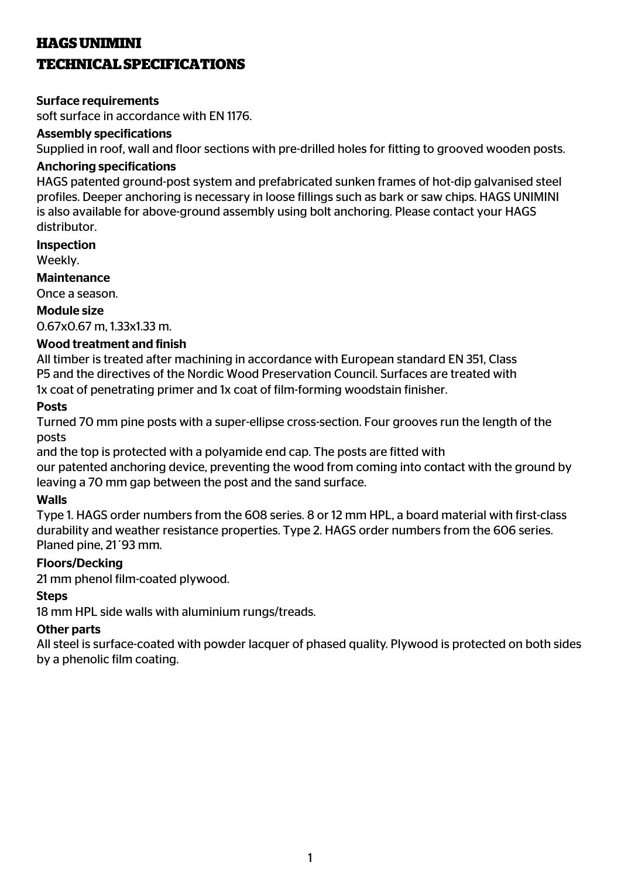# **HAGS UNIMINI**

# **TECHNICAL SPECIFICATIONS**

#### Surface requirements

soft surface in accordance with EN 1176.

#### Assembly specifications

Supplied in roof, wall and floor sections with pre-drilled holes for fitting to grooved wooden posts.

#### Anchoring specifications

HAGS patented ground-post system and prefabricated sunken frames of hot-dip galvanised steel profiles. Deeper anchoring is necessary in loose fillings such as bark or saw chips. HAGS UNIMINI is also available for above-ground assembly using bolt anchoring. Please contact your HAGS distributor.

#### Inspection

Weekly.

#### **Maintenance**

Once a season.

#### Module size

0.67x0.67 m, 1.33x1.33 m.

#### Wood treatment and finish

All timber is treated after machining in accordance with European standard EN 351, Class P5 and the directives of the Nordic Wood Preservation Council. Surfaces are treated with 1x coat of penetrating primer and 1x coat of film-forming woodstain finisher.

#### Posts

Turned 70 mm pine posts with a super-ellipse cross-section. Four grooves run the length of the posts

and the top is protected with a polyamide end cap. The posts are fitted with our patented anchoring device, preventing the wood from coming into contact with the ground by leaving a 70 mm gap between the post and the sand surface.

#### Walls

Type 1. HAGS order numbers from the 608 series. 8 or 12 mm HPL, a board material with first-class durability and weather resistance properties. Type 2. HAGS order numbers from the 606 series. Planed pine, 21´93 mm.

#### Floors/Decking

21 mm phenol film-coated plywood.

#### **Steps**

18 mm HPL side walls with aluminium rungs/treads.

#### Other parts

All steel is surface-coated with powder lacquer of phased quality. Plywood is protected on both sides by a phenolic film coating.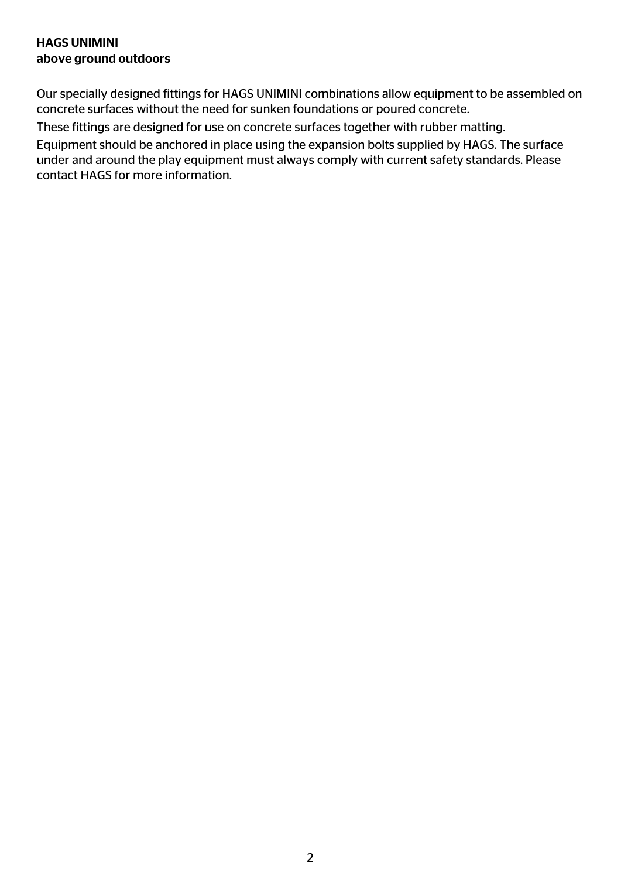# HAGS UNIMINI above ground outdoors

Our specially designed fittings for HAGS UNIMINI combinations allow equipment to be assembled on concrete surfaces without the need for sunken foundations or poured concrete.

These fittings are designed for use on concrete surfaces together with rubber matting.

Equipment should be anchored in place using the expansion bolts supplied by HAGS. The surface under and around the play equipment must always comply with current safety standards. Please contact HAGS for more information.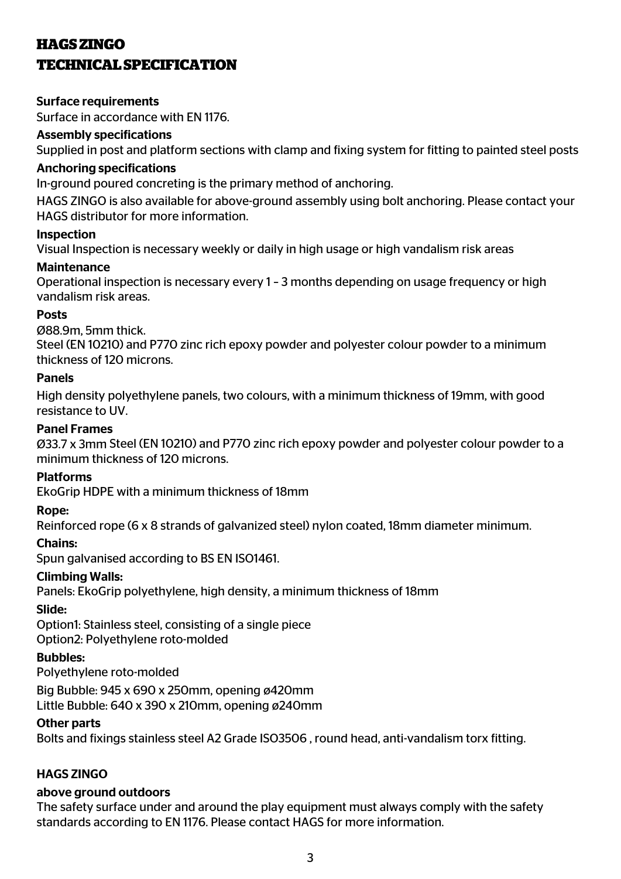# **HAGS ZINGO TECHNICAL SPECIFICATION**

## Surface requirements

Surface in accordance with EN 1176.

# Assembly specifications

Supplied in post and platform sections with clamp and fixing system for fitting to painted steel posts

# Anchoring specifications

In-ground poured concreting is the primary method of anchoring.

HAGS ZINGO is also available for above-ground assembly using bolt anchoring. Please contact your HAGS distributor for more information.

## Inspection

Visual Inspection is necessary weekly or daily in high usage or high vandalism risk areas

## Maintenance

Operational inspection is necessary every 1 – 3 months depending on usage frequency or high vandalism risk areas.

## Posts

Ø88.9m, 5mm thick.

Steel (EN 10210) and P770 zinc rich epoxy powder and polyester colour powder to a minimum thickness of 120 microns.

## Panels

High density polyethylene panels, two colours, with a minimum thickness of 19mm, with good resistance to UV.

## Panel Frames

Ø33.7 x 3mm Steel (EN 10210) and P770 zinc rich epoxy powder and polyester colour powder to a minimum thickness of 120 microns.

# Platforms

EkoGrip HDPE with a minimum thickness of 18mm

# Rope:

Reinforced rope (6 x 8 strands of galvanized steel) nylon coated, 18mm diameter minimum.

#### Chains:

Spun galvanised according to BS EN ISO1461.

# Climbing Walls:

Panels: EkoGrip polyethylene, high density, a minimum thickness of 18mm

# Slide:

Option1: Stainless steel, consisting of a single piece Option2: Polyethylene roto-molded

# Bubbles:

Polyethylene roto-molded

Big Bubble: 945 x 690 x 250mm, opening ø420mm Little Bubble: 640 x 390 x 210mm, opening ø240mm

#### Other parts

Bolts and fixings stainless steel A2 Grade ISO3506 , round head, anti-vandalism torx fitting.

# HAGS ZINGO

# above ground outdoors

The safety surface under and around the play equipment must always comply with the safety standards according to EN 1176. Please contact HAGS for more information.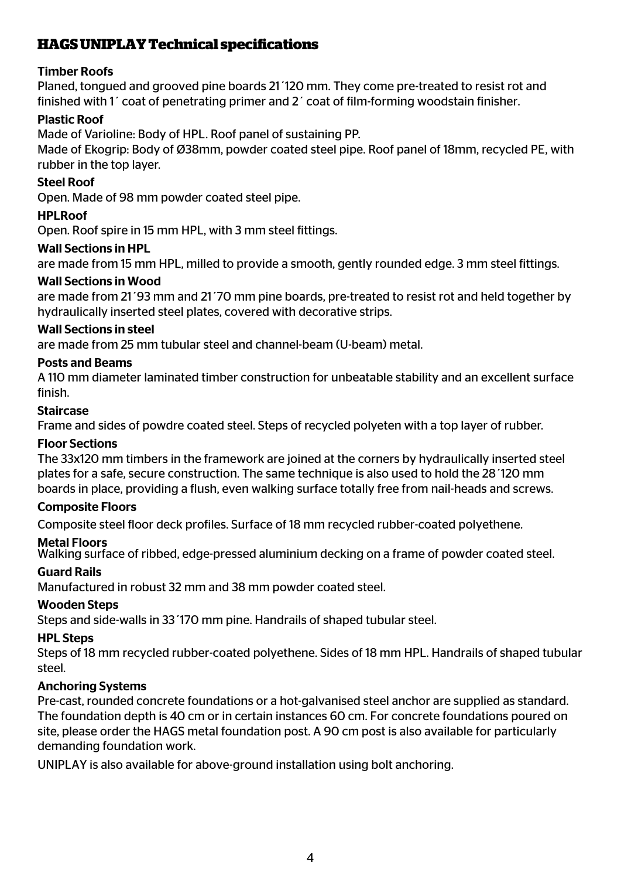# **HAGS UNIPLAY Technical specifi cations**

# Timber Roofs

Planed, tongued and grooved pine boards 21´120 mm. They come pre-treated to resist rot and finished with 1´ coat of penetrating primer and 2´ coat of film-forming woodstain finisher.

# Plastic Roof

Made of Varioline: Body of HPL. Roof panel of sustaining PP.

Made of Ekogrip: Body of Ø38mm, powder coated steel pipe. Roof panel of 18mm, recycled PE, with rubber in the top layer.

# Steel Roof

Open. Made of 98 mm powder coated steel pipe.

# **HPLRoof**

Open. Roof spire in 15 mm HPL, with 3 mm steel fittings.

# Wall Sections in HPL

are made from 15 mm HPL, milled to provide a smooth, gently rounded edge. 3 mm steel fittings.

## Wall Sections in Wood

are made from 21´93 mm and 21´70 mm pine boards, pre-treated to resist rot and held together by hydraulically inserted steel plates, covered with decorative strips.

## Wall Sections in steel

are made from 25 mm tubular steel and channel-beam (U-beam) metal.

## Posts and Beams

A 110 mm diameter laminated timber construction for unbeatable stability and an excellent surface finish.

## Staircase

Frame and sides of powdre coated steel. Steps of recycled polyeten with a top layer of rubber.

#### Floor Sections

The 33x120 mm timbers in the framework are joined at the corners by hydraulically inserted steel plates for a safe, secure construction. The same technique is also used to hold the 28´120 mm boards in place, providing a flush, even walking surface totally free from nail-heads and screws.

#### Composite Floors

Composite steel floor deck profiles. Surface of 18 mm recycled rubber-coated polyethene.

#### Metal Floors

Walking surface of ribbed, edge-pressed aluminium decking on a frame of powder coated steel.

# Guard Rails

Manufactured in robust 32 mm and 38 mm powder coated steel.

# Wooden Steps

Steps and side-walls in 33´170 mm pine. Handrails of shaped tubular steel.

#### HPL Steps

Steps of 18 mm recycled rubber-coated polyethene. Sides of 18 mm HPL. Handrails of shaped tubular steel.

# Anchoring Systems

Pre-cast, rounded concrete foundations or a hot-galvanised steel anchor are supplied as standard. The foundation depth is 40 cm or in certain instances 60 cm. For concrete foundations poured on site, please order the HAGS metal foundation post. A 90 cm post is also available for particularly demanding foundation work.

UNIPLAY is also available for above-ground installation using bolt anchoring.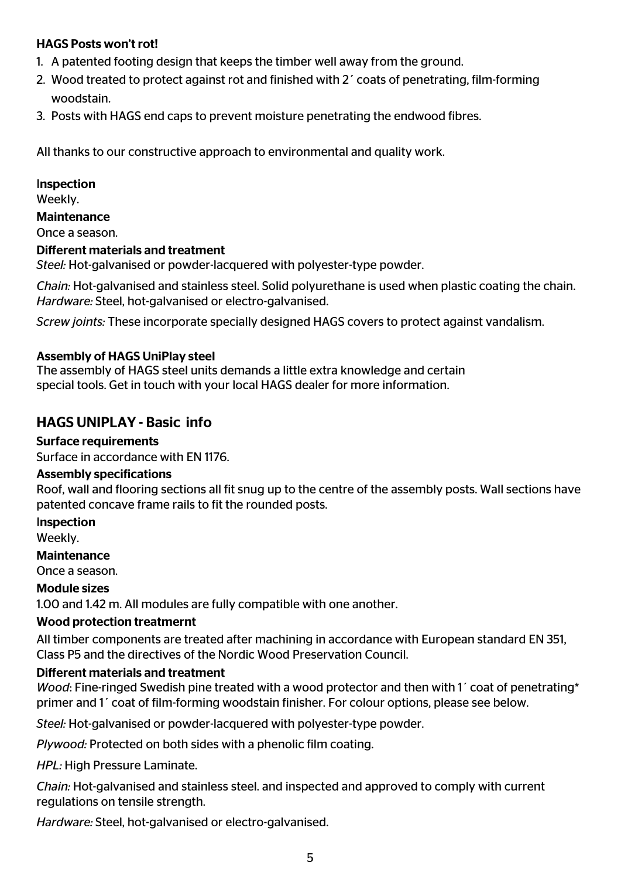# HAGS Posts won't rot!

- 1. A patented footing design that keeps the timber well away from the ground.
- 2. Wood treated to protect against rot and finished with 2´ coats of penetrating, film-forming woodstain.
- 3. Posts with HAGS end caps to prevent moisture penetrating the endwood fibres.

All thanks to our constructive approach to environmental and quality work.

#### Inspection

Weekly.

Maintenance

Once a season.

#### Different materials and treatment

*Steel:* Hot-galvanised or powder-lacquered with polyester-type powder.

*Chain:* Hot-galvanised and stainless steel. Solid polyurethane is used when plastic coating the chain. *Hardware:* Steel, hot-galvanised or electro-galvanised.

*Screw joints:* These incorporate specially designed HAGS covers to protect against vandalism.

#### Assembly of HAGS UniPlay steel

The assembly of HAGS steel units demands a little extra knowledge and certain special tools. Get in touch with your local HAGS dealer for more information.

# HAGS UNIPLAY - Basic info

#### Surface requirements

Surface in accordance with EN 1176.

#### Assembly specifications

Roof, wall and flooring sections all fit snug up to the centre of the assembly posts. Wall sections have patented concave frame rails to fit the rounded posts.

#### Inspection

Weekly.

#### Maintenance

Once a season.

#### Module sizes

1.00 and 1.42 m. All modules are fully compatible with one another.

#### Wood protection treatmernt

All timber components are treated after machining in accordance with European standard EN 351, Class P5 and the directives of the Nordic Wood Preservation Council.

#### Different materials and treatment

*Wood*: Fine-ringed Swedish pine treated with a wood protector and then with 1´ coat of penetrating\* primer and 1´ coat of film-forming woodstain finisher. For colour options, please see below.

*Steel:* Hot-galvanised or powder-lacquered with polyester-type powder.

*Plywood:* Protected on both sides with a phenolic film coating.

*HPL:* High Pressure Laminate.

*Chain:* Hot-galvanised and stainless steel. and inspected and approved to comply with current regulations on tensile strength.

*Hardware:* Steel, hot-galvanised or electro-galvanised.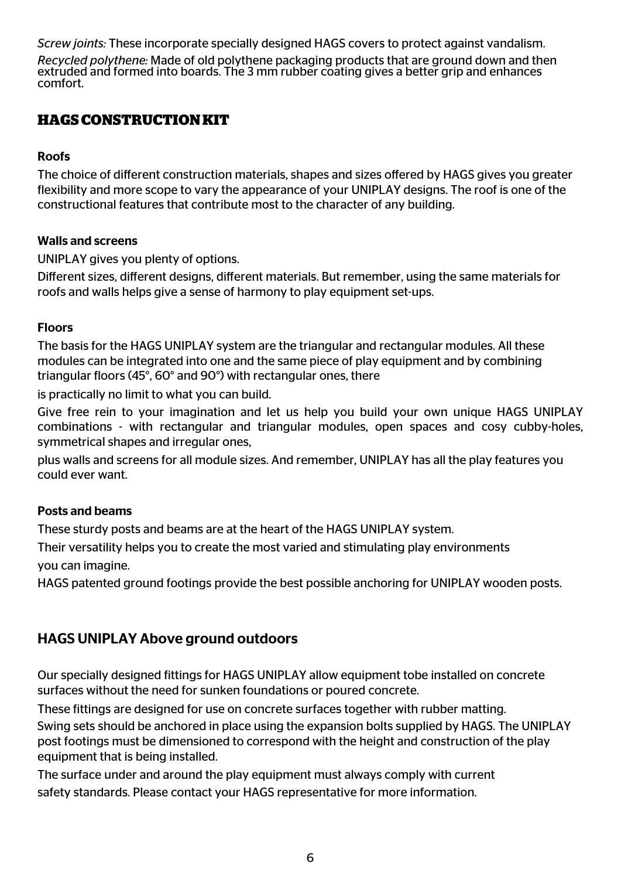*Screw joints:* These incorporate specially designed HAGS covers to protect against vandalism.

*Recycled polythene:* Made of old polythene packaging products that are ground down and then extruded and formed into boards. The 3 mm rubber coating gives a better grip and enhances comfort.

# **HAGS CONSTRUCTION KIT**

# Roofs

The choice of different construction materials, shapes and sizes offered by HAGS gives you greater flexibility and more scope to vary the appearance of your UNIPLAY designs. The roof is one of the constructional features that contribute most to the character of any building.

## Walls and screens

UNIPLAY gives you plenty of options.

Different sizes, different designs, different materials. But remember, using the same materials for roofs and walls helps give a sense of harmony to play equipment set-ups.

## Floors

The basis for the HAGS UNIPLAY system are the triangular and rectangular modules. All these modules can be integrated into one and the same piece of play equipment and by combining triangular floors (45°, 60° and 90°) with rectangular ones, there

is practically no limit to what you can build.

Give free rein to your imagination and let us help you build your own unique HAGS UNIPLAY combinations - with rectangular and triangular modules, open spaces and cosy cubby-holes, symmetrical shapes and irregular ones,

plus walls and screens for all module sizes. And remember, UNIPLAY has all the play features you could ever want.

# Posts and beams

These sturdy posts and beams are at the heart of the HAGS UNIPLAY system.

Their versatility helps you to create the most varied and stimulating play environments you can imagine.

HAGS patented ground footings provide the best possible anchoring for UNIPLAY wooden posts.

# HAGS UNIPLAY Above ground outdoors

Our specially designed fittings for HAGS UNIPLAY allow equipment tobe installed on concrete surfaces without the need for sunken foundations or poured concrete.

These fittings are designed for use on concrete surfaces together with rubber matting.

Swing sets should be anchored in place using the expansion bolts supplied by HAGS. The UNIPLAY post footings must be dimensioned to correspond with the height and construction of the play equipment that is being installed.

The surface under and around the play equipment must always comply with current safety standards. Please contact your HAGS representative for more information.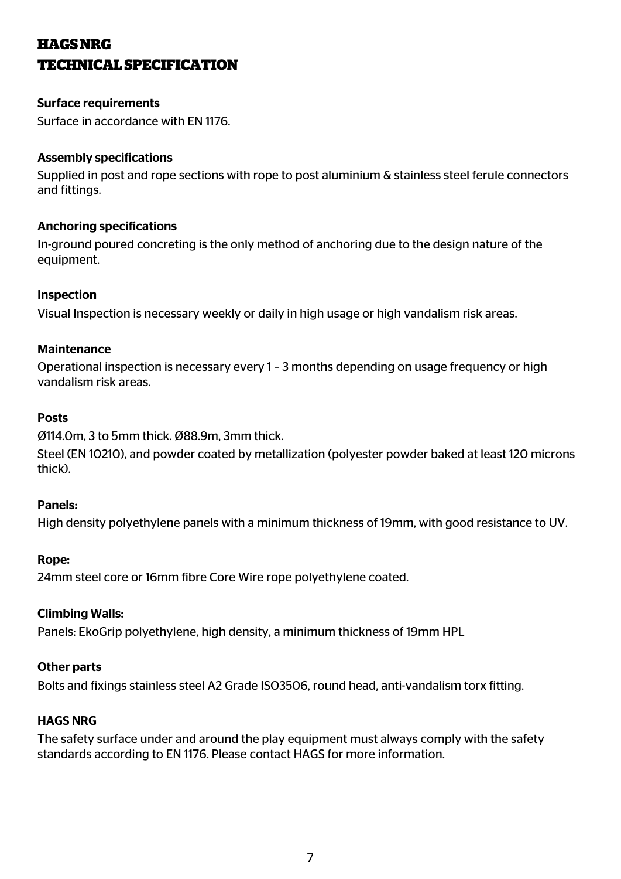# **HAGS NRG TECHNICAL SPECIFICATION**

## Surface requirements

Surface in accordance with EN 1176.

#### Assembly specifications

Supplied in post and rope sections with rope to post aluminium & stainless steel ferule connectors and fittings.

# Anchoring specifications

In-ground poured concreting is the only method of anchoring due to the design nature of the equipment.

## Inspection

Visual Inspection is necessary weekly or daily in high usage or high vandalism risk areas.

#### **Maintenance**

Operational inspection is necessary every 1 – 3 months depending on usage frequency or high vandalism risk areas.

## Posts

Ø114.0m, 3 to 5mm thick. Ø88.9m, 3mm thick.

Steel (EN 10210), and powder coated by metallization (polyester powder baked at least 120 microns thick).

#### Panels:

High density polyethylene panels with a minimum thickness of 19mm, with good resistance to UV.

#### Rope:

24mm steel core or 16mm fibre Core Wire rope polyethylene coated.

#### Climbing Walls:

Panels: EkoGrip polyethylene, high density, a minimum thickness of 19mm HPL

#### Other parts

Bolts and fixings stainless steel A2 Grade ISO3506, round head, anti-vandalism torx fitting.

# HAGS NRG

The safety surface under and around the play equipment must always comply with the safety standards according to EN 1176. Please contact HAGS for more information.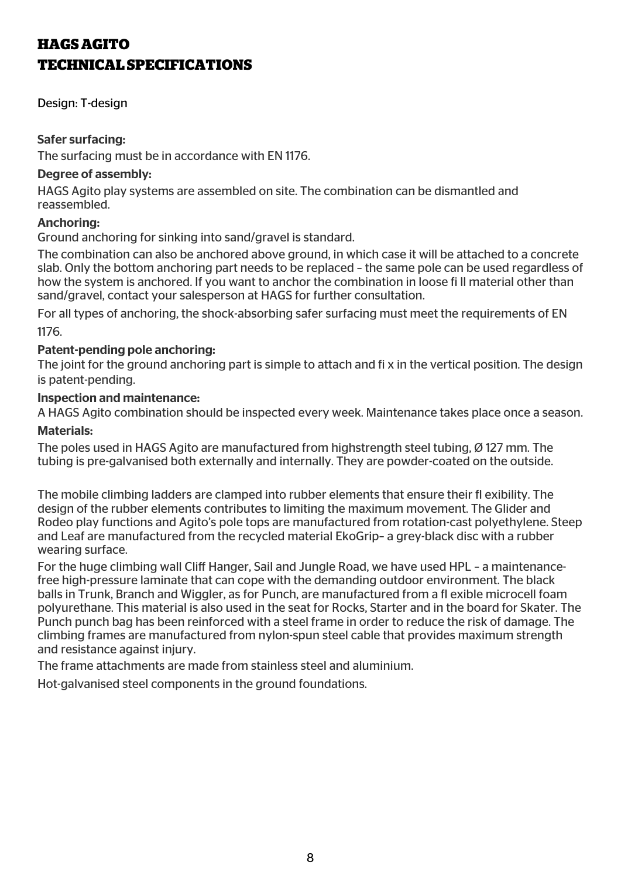# **HAGS AGITO TECHNICAL SPECIFICATIONS**

Design: T-design

## Safer surfacing:

The surfacing must be in accordance with EN 1176.

#### Degree of assembly:

HAGS Agito play systems are assembled on site. The combination can be dismantled and reassembled.

#### Anchoring:

Ground anchoring for sinking into sand/gravel is standard.

The combination can also be anchored above ground, in which case it will be attached to a concrete slab. Only the bottom anchoring part needs to be replaced – the same pole can be used regardless of how the system is anchored. If you want to anchor the combination in loose fi ll material other than sand/gravel, contact your salesperson at HAGS for further consultation.

For all types of anchoring, the shock-absorbing safer surfacing must meet the requirements of EN 1176.

#### Patent-pending pole anchoring:

The joint for the ground anchoring part is simple to attach and fi x in the vertical position. The design is patent-pending.

#### Inspection and maintenance:

A HAGS Agito combination should be inspected every week. Maintenance takes place once a season.

#### Materials:

The poles used in HAGS Agito are manufactured from highstrength steel tubing, Ø 127 mm. The tubing is pre-galvanised both externally and internally. They are powder-coated on the outside.

The mobile climbing ladders are clamped into rubber elements that ensure their fl exibility. The design of the rubber elements contributes to limiting the maximum movement. The Glider and Rodeo play functions and Agito's pole tops are manufactured from rotation-cast polyethylene. Steep and Leaf are manufactured from the recycled material EkoGrip– a grey-black disc with a rubber wearing surface.

For the huge climbing wall Cliff Hanger, Sail and Jungle Road, we have used HPL – a maintenancefree high-pressure laminate that can cope with the demanding outdoor environment. The black balls in Trunk, Branch and Wiggler, as for Punch, are manufactured from a fl exible microcell foam polyurethane. This material is also used in the seat for Rocks, Starter and in the board for Skater. The Punch punch bag has been reinforced with a steel frame in order to reduce the risk of damage. The climbing frames are manufactured from nylon-spun steel cable that provides maximum strength and resistance against injury.

The frame attachments are made from stainless steel and aluminium.

Hot-galvanised steel components in the ground foundations.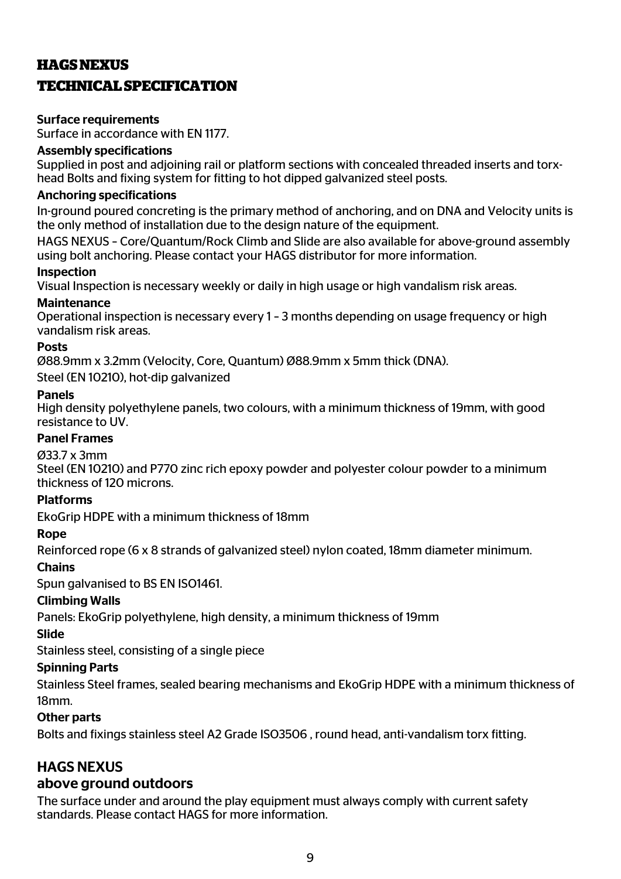# **HAGS NEXUS TECHNICAL SPECIFICATION**

## Surface requirements

Surface in accordance with EN 1177.

## Assembly specifications

Supplied in post and adjoining rail or platform sections with concealed threaded inserts and torxhead Bolts and fixing system for fitting to hot dipped galvanized steel posts.

## Anchoring specifications

In-ground poured concreting is the primary method of anchoring, and on DNA and Velocity units is the only method of installation due to the design nature of the equipment.

HAGS NEXUS – Core/Quantum/Rock Climb and Slide are also available for above-ground assembly using bolt anchoring. Please contact your HAGS distributor for more information.

#### Inspection

Visual Inspection is necessary weekly or daily in high usage or high vandalism risk areas.

## **Maintenance**

Operational inspection is necessary every 1 – 3 months depending on usage frequency or high vandalism risk areas.

## **Posts**

Ø88.9mm x 3.2mm (Velocity, Core, Quantum) Ø88.9mm x 5mm thick (DNA).

Steel (EN 10210), hot-dip galvanized

#### Panels

High density polyethylene panels, two colours, with a minimum thickness of 19mm, with good resistance to UV.

# Panel Frames

#### Ø33.7 x 3mm

Steel (EN 10210) and P770 zinc rich epoxy powder and polyester colour powder to a minimum thickness of 120 microns.

# Platforms

EkoGrip HDPE with a minimum thickness of 18mm

#### Rope

Reinforced rope (6 x 8 strands of galvanized steel) nylon coated, 18mm diameter minimum.

# **Chains**

Spun galvanised to BS EN ISO1461.

# Climbing Walls

Panels: EkoGrip polyethylene, high density, a minimum thickness of 19mm

# Slide

Stainless steel, consisting of a single piece

# Spinning Parts

Stainless Steel frames, sealed bearing mechanisms and EkoGrip HDPE with a minimum thickness of 18mm.

#### Other parts

Bolts and fixings stainless steel A2 Grade ISO3506 , round head, anti-vandalism torx fitting.

# HAGS NEXUS

# above ground outdoors

The surface under and around the play equipment must always comply with current safety standards. Please contact HAGS for more information.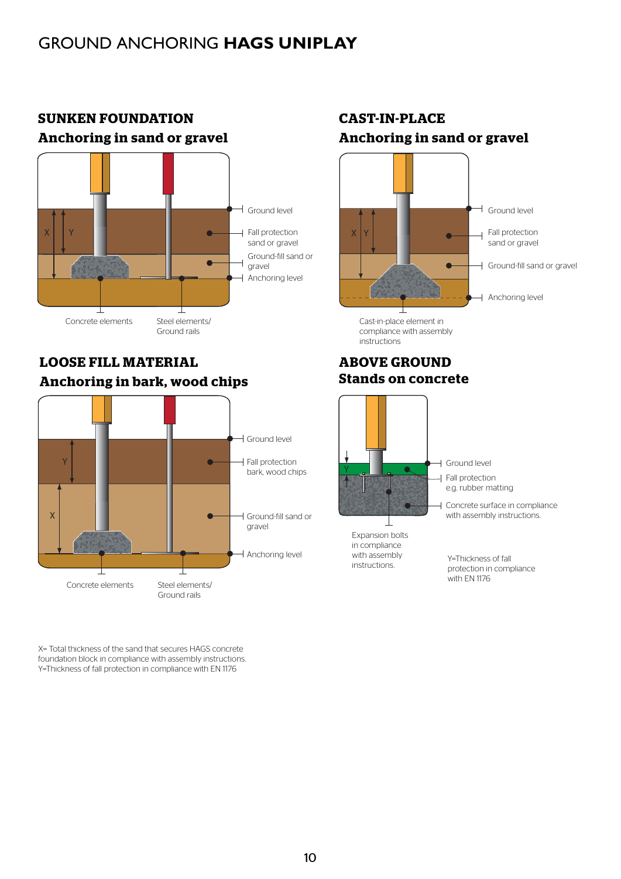# GROUND ANCHORING **HAGS UNIPLAY**



# **SUNKEN FOUNDATION Anchoring in sand or gravel**

# **LOOSE FILL MATERIAL Anchoring in bark, wood chips**



X= Total thickness of the sand that secures HAGS concrete foundation block in compliance with assembly instructions. Y=Thickness of fall protection in compliance with EN 1176

# **CAST-IN-PLACE Anchoring in sand or gravel**



compliance with assembly instructions

#### **ABOVE GROUND Stands on concrete**

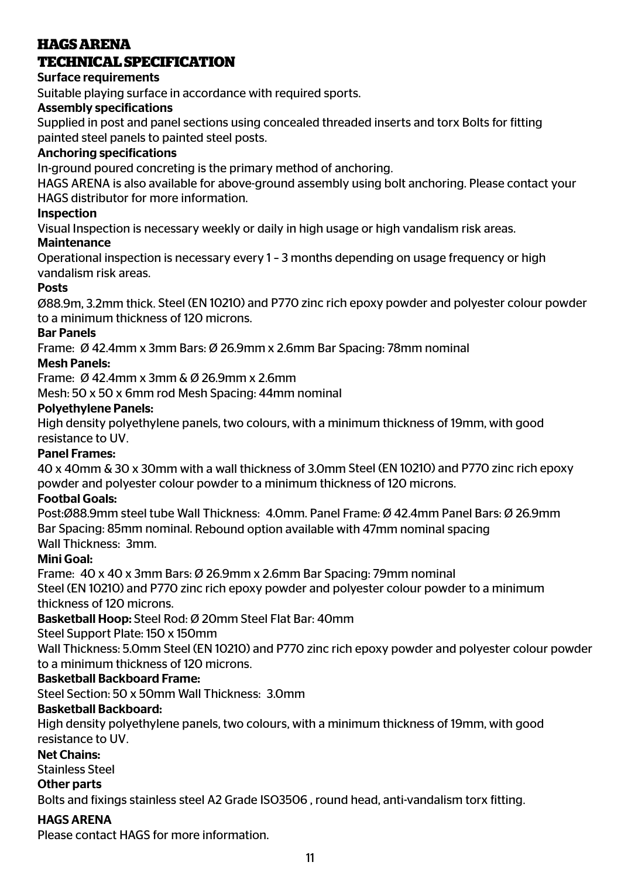# **HAGS ARENA TECHNICAL SPECIFICATION**

# Surface requirements

Suitable playing surface in accordance with required sports.

# Assembly specifications

Supplied in post and panel sections using concealed threaded inserts and torx Bolts for fitting painted steel panels to painted steel posts.

# Anchoring specifications

In-ground poured concreting is the primary method of anchoring.

HAGS ARENA is also available for above-ground assembly using bolt anchoring. Please contact your HAGS distributor for more information.

# Inspection

Visual Inspection is necessary weekly or daily in high usage or high vandalism risk areas.

# **Maintenance**

Operational inspection is necessary every 1 – 3 months depending on usage frequency or high vandalism risk areas.

# Posts

Ø88.9m, 3.2mm thick. Steel (EN 10210) and P770 zinc rich epoxy powder and polyester colour powder to a minimum thickness of 120 microns.

# Bar Panels

Frame: Ø 42.4mm x 3mm Bars: Ø 26.9mm x 2.6mm Bar Spacing: 78mm nominal

# Mesh Panels:

Frame: Ø 42.4mm x 3mm & Ø 26.9mm x 2.6mm

Mesh: 50 x 50 x 6mm rod Mesh Spacing: 44mm nominal

# Polyethylene Panels:

High density polyethylene panels, two colours, with a minimum thickness of 19mm, with good resistance to UV.

# Panel Frames:

40 x 40mm & 30 x 30mm with a wall thickness of 3.0mm Steel (EN 10210) and P770 zinc rich epoxy powder and polyester colour powder to a minimum thickness of 120 microns.

# Footbal Goals:

Post:Ø88.9mm steel tube Wall Thickness: 4.0mm. Panel Frame: Ø 42.4mm Panel Bars: Ø 26.9mm Bar Spacing: 85mm nominal. Rebound option available with 47mm nominal spacing Wall Thickness: 3mm.

# Mini Goal:

Frame: 40 x 40 x 3mm Bars: Ø 26.9mm x 2.6mm Bar Spacing: 79mm nominal

Steel (EN 10210) and P770 zinc rich epoxy powder and polyester colour powder to a minimum thickness of 120 microns.

Basketball Hoop: Steel Rod: Ø 20mm Steel Flat Bar: 40mm

Steel Support Plate: 150 x 150mm

Wall Thickness: 5.0mm Steel (EN 10210) and P770 zinc rich epoxy powder and polyester colour powder to a minimum thickness of 120 microns.

# Basketball Backboard Frame:

Steel Section: 50 x 50mm Wall Thickness: 3.0mm

# Basketball Backboard:

High density polyethylene panels, two colours, with a minimum thickness of 19mm, with good resistance to UV.

# Net Chains:

Stainless Steel

# Other parts

Bolts and fixings stainless steel A2 Grade ISO3506 , round head, anti-vandalism torx fitting.

# HAGS ARENA

Please contact HAGS for more information.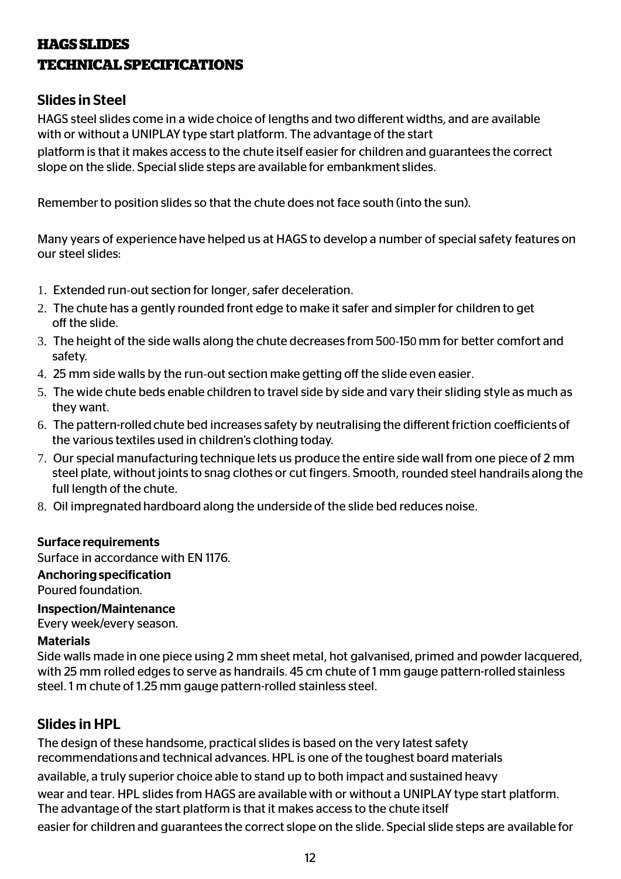# **HAGS SLIDES TECHNICAL SPECIFICATIONS**

# Slides in Steel

HAGS steel slides come in a wide choice of lengths and two different widths, and are available with or without a UNIPLAY type start platform. The advantage of the start

platform is that it makes access to the chute itself easier for children and guarantees the correct slope on the slide. Special slide steps are available for embankment slides.

Remember to position slides so that the chute does not face south (into the sun).

Many years of experience have helped us at HAGS to develop a number of special safety features on our steel slides:

- 1. Extended run-out section for longer, safer deceleration.
- 2. The chute has a gently rounded front edge to make it safer and simpler for children to get off the slide.
- 3. The height of the side walls along the chute decreases from 500-150 mm for better comfort and safety.
- 4. 25 mm side walls by the run-out section make getting off the slide even easier.
- 5. The wide chute beds enable children to travel side by side and vary their sliding style as much as they want.
- 6. The pattern-rolled chute bed increases safety by neutralising the different friction coefficients of the various textiles used in children's clothing today.
- 7. Our special manufacturing technique lets us produce the entire side wall from one piece of 2 mm steel plate, without joints to snag clothes or cut fingers. Smooth, rounded steel handrails along the full length of the chute.
- 8. Oil impregnated hardboard along the underside of the slide bed reduces noise.

#### Surface requirements

Surface in accordance with EN 1176.

#### Anchoring specification

Poured foundation.

Inspection/Maintenance

Every week/every season.

#### Materials

Side walls made in one piece using 2 mm sheet metal, hot galvanised, primed and powder lacquered, with 25 mm rolled edges to serve as handrails. 45 cm chute of 1 mm gauge pattern-rolled stainless steel. 1 m chute of 1.25 mm gauge pattern-rolled stainless steel.

# Slides in HPL

The design of these handsome, practical slides is based on the very latest safety recommendations and technical advances. HPL is one of the toughest board materials available, a truly superior choice able to stand up to both impact and sustained heavy wear and tear. HPL slides from HAGS are available with or without a UNIPLAY type start platform. The advantage of the start platform is that it makes access to the chute itself easier for children and guarantees the correct slope on the slide. Special slide steps are available for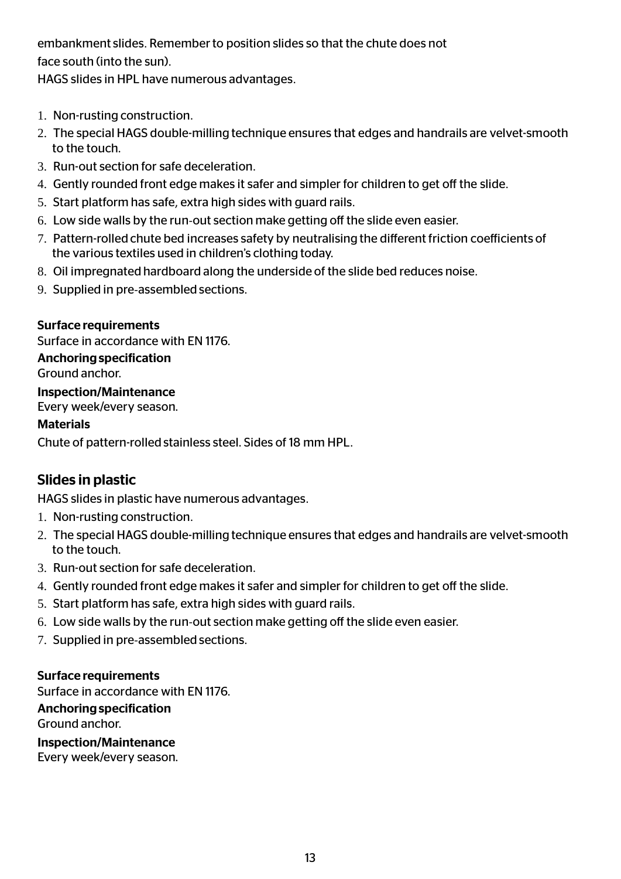embankment slides. Remember to position slides so that the chute does not face south (into the sun).

HAGS slides in HPL have numerous advantages.

- 1. Non-rusting construction.
- 2. The special HAGS double-milling technique ensures that edges and handrails are velvet-smooth to the touch.
- 3. Run-out section for safe deceleration.
- 4. Gently rounded front edge makes it safer and simpler for children to get off the slide.
- 5. Start platform has safe, extra high sides with guard rails.
- 6. Low side walls by the run-out section make getting off the slide even easier.
- 7. Pattern-rolled chute bed increases safety by neutralising the different friction coefficients of the various textiles used in children's clothing today.
- 8. Oil impregnated hardboard along the underside of the slide bed reduces noise.
- 9. Supplied in pre-assembled sections.

# Surface requirements

Surface in accordance with EN 1176.

## Anchoring specification

Ground anchor.

# Inspection/Maintenance

Every week/every season.

## Materials

Chute of pattern-rolled stainless steel. Sides of 18 mm HPL.

# Slides in plastic

HAGS slides in plastic have numerous advantages.

- 1. Non-rusting construction.
- 2. The special HAGS double-milling technique ensures that edges and handrails are velvet-smooth to the touch.
- 3. Run-out section for safe deceleration.
- 4. Gently rounded front edge makes it safer and simpler for children to get off the slide.
- 5. Start platform has safe, extra high sides with guard rails.
- 6. Low side walls by the run-out section make getting off the slide even easier.
- 7. Supplied in pre-assembled sections.

#### Surface requirements

Surface in accordance with EN 1176.

# Anchoring specification

Ground anchor.

Inspection/Maintenance

Every week/every season.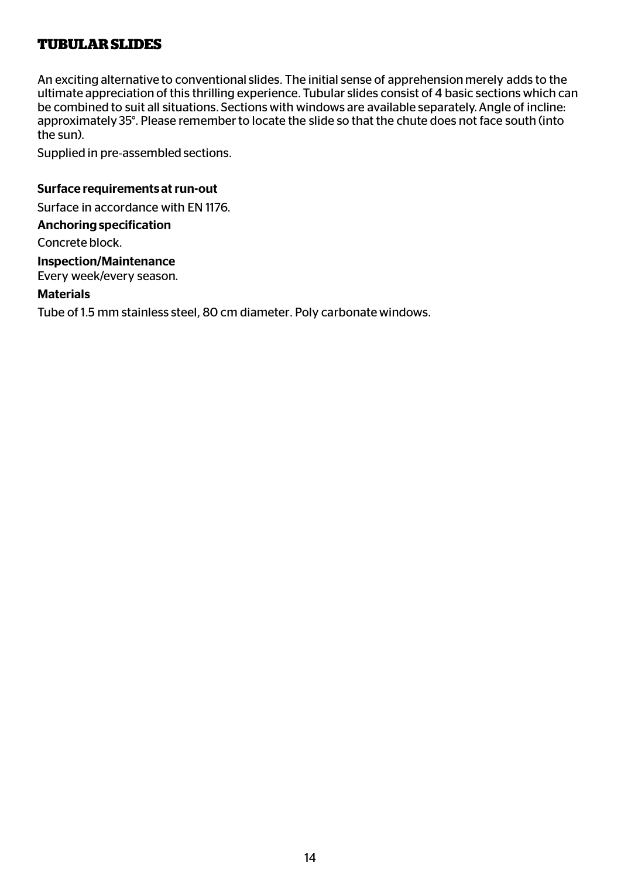# **TUBULAR SLIDES**

An exciting alternative to conventional slides. The initial sense of apprehension merely adds to the ultimate appreciation of this thrilling experience. Tubular slides consist of 4 basic sections which can be combined to suit all situations. Sections with windows are available separately. Angle of incline: approximately 35°. Please remember to locate the slide so that the chute does not face south (into the sun).

Supplied in pre-assembled sections.

#### Surface requirements at run-out

Surface in accordance with EN 1176.

#### Anchoring specification

Concrete block.

#### Inspection/Maintenance

Every week/every season.

#### **Materials**

Tube of 1.5 mm stainless steel, 80 cm diameter. Poly carbonate windows.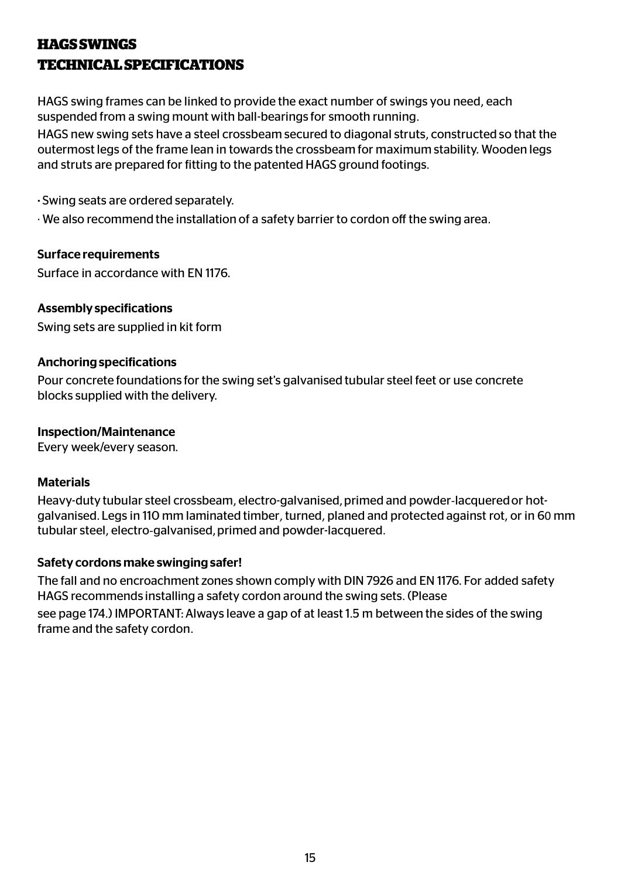# **HAGS SWINGS TECHNICAL SPECIFICATIONS**

HAGS swing frames can be linked to provide the exact number of swings you need, each suspended from a swing mount with ball-bearings for smooth running.

HAGS new swing sets have a steel crossbeam secured to diagonal struts, constructed so that the outermost legs of the frame lean in towards the crossbeam for maximum stability. Wooden legs and struts are prepared for fitting to the patented HAGS ground footings.

· Swing seats are ordered separately.

· We also recommend the installation of a safety barrier to cordon off the swing area.

## Surface requirements

Surface in accordance with EN 1176.

# Assembly specifications

Swing sets are supplied in kit form

#### Anchoring specifications

Pour concrete foundations for the swing set's galvanised tubular steel feet or use concrete blocks supplied with the delivery.

#### Inspection/Maintenance

Every week/every season.

#### **Materials**

Heavy-duty tubular steel crossbeam, electro-galvanised, primed and powder-lacquered or hotgalvanised. Legs in 110 mm laminated timber, turned, planed and protected against rot, or in 60 mm tubular steel, electro-galvanised, primed and powder-lacquered.

# Safety cordons make swinging safer!

The fall and no encroachment zones shown comply with DIN 7926 and EN 1176. For added safety HAGS recommends installing a safety cordon around the swing sets. (Please

see page 174.) IMPORTANT: Always leave a gap of at least 1.5 m between the sides of the swing frame and the safety cordon.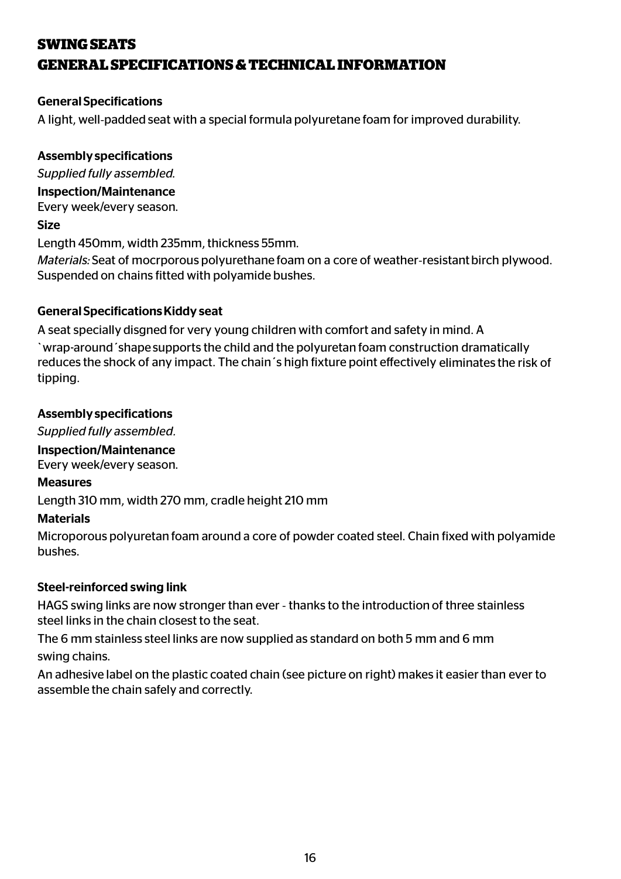# **SWING SEATS GENERAL SPECIFICATIONS & TECHNICAL INFORMATION**

# General Specifications

A light, well-padded seat with a special formula polyuretane foam for improved durability.

# Assembly specifications

*Supplied fully assembled.* 

#### Inspection/Maintenance

Every week/every season.

## Size

Length 450mm, width 235mm, thickness 55mm.

*Materials:* Seat of mocrporous polyurethane foam on a core of weather-resistant birch plywood. Suspended on chains fitted with polyamide bushes.

# General Specifications Kiddy seat

A seat specially disgned for very young children with comfort and safety in mind. A `wrap-around´shape supports the child and the polyuretan foam construction dramatically reduces the shock of any impact. The chain's high fixture point effectively eliminates the risk of tipping.

# Assembly specifications

*Supplied fully assembled.*

# Inspection/Maintenance

Every week/every season.

# Measures

Length 310 mm, width 270 mm, cradle height 210 mm

# **Materials**

Microporous polyuretan foam around a core of powder coated steel. Chain fixed with polyamide bushes.

# Steel-reinforced swing link

HAGS swing links are now stronger than ever - thanks to the introduction of three stainless steel links in the chain closest to the seat.

The 6 mm stainless steel links are now supplied as standard on both 5 mm and 6 mm swing chains.

An adhesive label on the plastic coated chain (see picture on right) makes it easier than ever to assemble the chain safely and correctly.